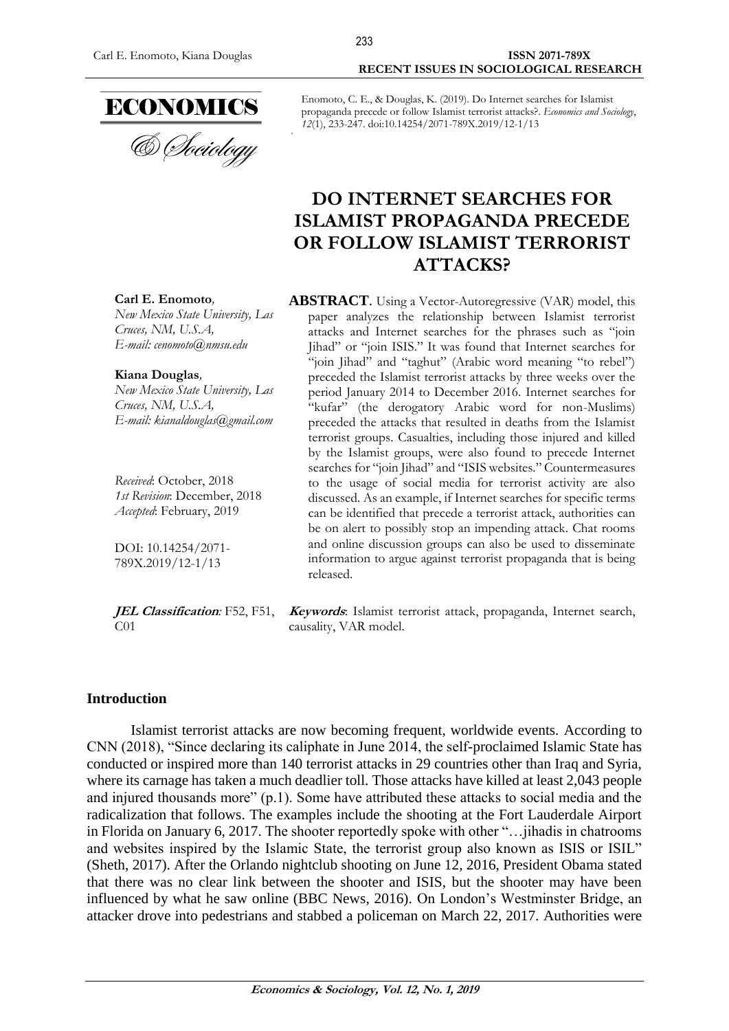

#### Carl E. Enomoto, Kiana Douglas **ISSN 2071-789X RECENT ISSUES IN SOCIOLOGICAL RESEARCH**

Enomoto, C. E., & Douglas, K. (2019). Do Internet searches for Islamist propaganda precede or follow Islamist terrorist attacks?. *Economics and Sociology*, *12*(1), 233-247. doi:10.14254/2071-789X.2019/12-1/13

233

# **DO INTERNET SEARCHES FOR ISLAMIST PROPAGANDA PRECEDE OR FOLLOW ISLAMIST TERRORIST ATTACKS?**

**ABSTRACT**. Using a Vector-Autoregressive (VAR) model, this paper analyzes the relationship between Islamist terrorist attacks and Internet searches for the phrases such as "join Jihad" or "join ISIS." It was found that Internet searches for "join Jihad" and "taghut" (Arabic word meaning "to rebel") preceded the Islamist terrorist attacks by three weeks over the period January 2014 to December 2016. Internet searches for "kufar" (the derogatory Arabic word for non-Muslims) preceded the attacks that resulted in deaths from the Islamist terrorist groups. Casualties, including those injured and killed by the Islamist groups, were also found to precede Internet searches for "join Jihad" and "ISIS websites." Countermeasures to the usage of social media for terrorist activity are also discussed. As an example, if Internet searches for specific terms can be identified that precede a terrorist attack, authorities can be on alert to possibly stop an impending attack. Chat rooms and online discussion groups can also be used to disseminate information to argue against terrorist propaganda that is being released.

**Keywords**: Islamist terrorist attack, propaganda, Internet search, causality, VAR model.

### **Introduction**

Islamist terrorist attacks are now becoming frequent, worldwide events. According to CNN (2018), "Since declaring its caliphate in June 2014, the self-proclaimed Islamic State has conducted or inspired more than 140 terrorist attacks in 29 countries other than Iraq and Syria, where its carnage has taken a much deadlier toll. Those attacks have killed at least 2,043 people and injured thousands more" (p.1). Some have attributed these attacks to social media and the radicalization that follows. The examples include the shooting at the Fort Lauderdale Airport in Florida on January 6, 2017. The shooter reportedly spoke with other "…jihadis in chatrooms and websites inspired by the Islamic State, the terrorist group also known as ISIS or ISIL" (Sheth, 2017). After the Orlando nightclub shooting on June 12, 2016, President Obama stated that there was no clear link between the shooter and ISIS, but the shooter may have been influenced by what he saw online (BBC News, 2016). On London's Westminster Bridge, an attacker drove into pedestrians and stabbed a policeman on March 22, 2017. Authorities were

**Carl E. Enomoto***,*

*New Mexico State University, Las Cruces, NM, U.S.A, E-mail: cenomoto@nmsu.edu*

**Kiana Douglas***,*

*New Mexico State University, Las Cruces, NM, U.S.A, E-mail: kianaldouglas@gmail.com*

*Received*: October, 2018 *1st Revision*: December, 2018 *Accepted*: February, 2019

DOI: 10.14254/2071- 789X.2019/12-1/13

**JEL Classification***:* F52, F51,  $CO<sub>1</sub>$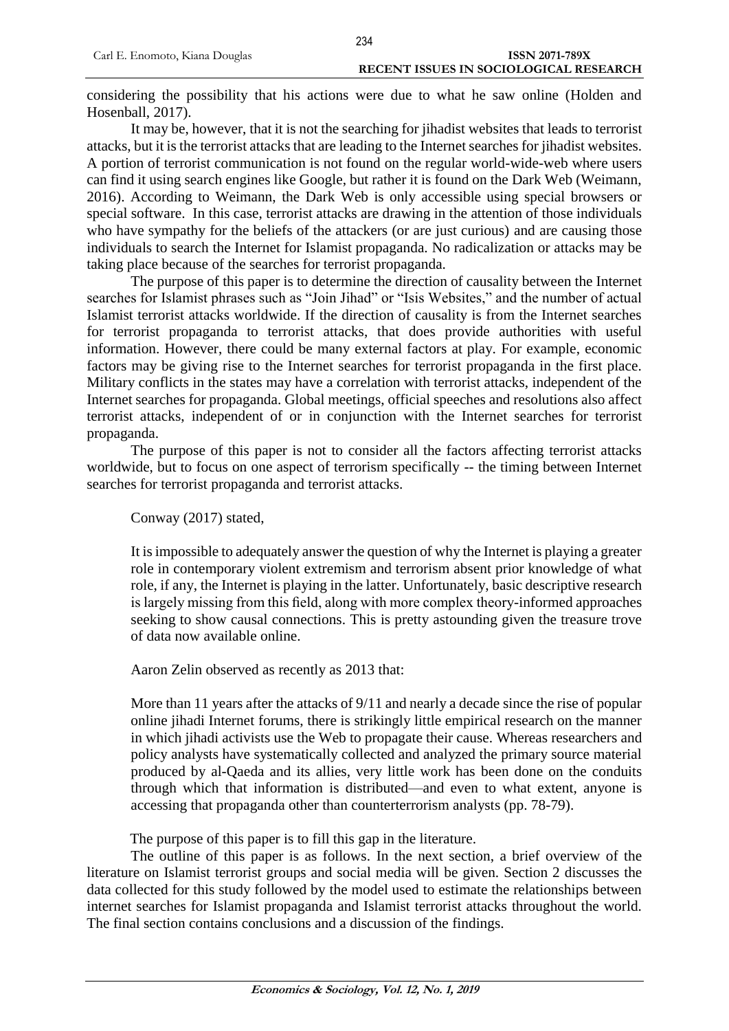considering the possibility that his actions were due to what he saw online (Holden and Hosenball, 2017).

It may be, however, that it is not the searching for jihadist websites that leads to terrorist attacks, but it is the terrorist attacks that are leading to the Internet searches for jihadist websites. A portion of terrorist communication is not found on the regular world-wide-web where users can find it using search engines like Google, but rather it is found on the Dark Web (Weimann, 2016). According to Weimann, the Dark Web is only accessible using special browsers or special software. In this case, terrorist attacks are drawing in the attention of those individuals who have sympathy for the beliefs of the attackers (or are just curious) and are causing those individuals to search the Internet for Islamist propaganda. No radicalization or attacks may be taking place because of the searches for terrorist propaganda.

The purpose of this paper is to determine the direction of causality between the Internet searches for Islamist phrases such as "Join Jihad" or "Isis Websites," and the number of actual Islamist terrorist attacks worldwide. If the direction of causality is from the Internet searches for terrorist propaganda to terrorist attacks, that does provide authorities with useful information. However, there could be many external factors at play. For example, economic factors may be giving rise to the Internet searches for terrorist propaganda in the first place. Military conflicts in the states may have a correlation with terrorist attacks, independent of the Internet searches for propaganda. Global meetings, official speeches and resolutions also affect terrorist attacks, independent of or in conjunction with the Internet searches for terrorist propaganda.

The purpose of this paper is not to consider all the factors affecting terrorist attacks worldwide, but to focus on one aspect of terrorism specifically -- the timing between Internet searches for terrorist propaganda and terrorist attacks.

Conway (2017) stated,

It is impossible to adequately answer the question of why the Internet is playing a greater role in contemporary violent extremism and terrorism absent prior knowledge of what role, if any, the Internet is playing in the latter. Unfortunately, basic descriptive research is largely missing from this field, along with more complex theory-informed approaches seeking to show causal connections. This is pretty astounding given the treasure trove of data now available online.

Aaron Zelin observed as recently as 2013 that:

More than 11 years after the attacks of 9/11 and nearly a decade since the rise of popular online jihadi Internet forums, there is strikingly little empirical research on the manner in which jihadi activists use the Web to propagate their cause. Whereas researchers and policy analysts have systematically collected and analyzed the primary source material produced by al-Qaeda and its allies, very little work has been done on the conduits through which that information is distributed—and even to what extent, anyone is accessing that propaganda other than counterterrorism analysts (pp. 78-79).

The purpose of this paper is to fill this gap in the literature.

The outline of this paper is as follows. In the next section, a brief overview of the literature on Islamist terrorist groups and social media will be given. Section 2 discusses the data collected for this study followed by the model used to estimate the relationships between internet searches for Islamist propaganda and Islamist terrorist attacks throughout the world. The final section contains conclusions and a discussion of the findings.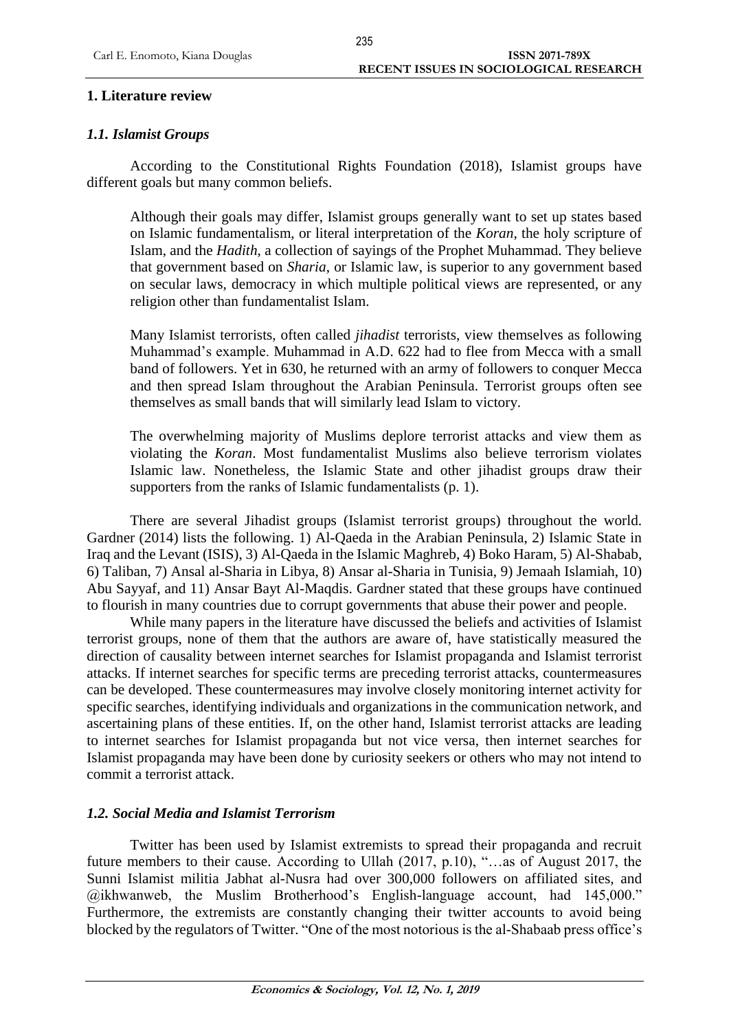## **1. Literature review**

# *1.1. Islamist Groups*

According to the Constitutional Rights Foundation (2018), Islamist groups have different goals but many common beliefs.

Although their goals may differ, Islamist groups generally want to set up states based on Islamic fundamentalism, or literal interpretation of the *Koran*, the holy scripture of Islam, and the *Hadith*, a collection of sayings of the Prophet Muhammad. They believe that government based on *Sharia*, or Islamic law, is superior to any government based on secular laws, democracy in which multiple political views are represented, or any religion other than fundamentalist Islam.

Many Islamist terrorists, often called *jihadist* terrorists, view themselves as following Muhammad's example. Muhammad in A.D. 622 had to flee from Mecca with a small band of followers. Yet in 630, he returned with an army of followers to conquer Mecca and then spread Islam throughout the Arabian Peninsula. Terrorist groups often see themselves as small bands that will similarly lead Islam to victory.

The overwhelming majority of Muslims deplore terrorist attacks and view them as violating the *Koran*. Most fundamentalist Muslims also believe terrorism violates Islamic law. Nonetheless, the Islamic State and other jihadist groups draw their supporters from the ranks of Islamic fundamentalists (p. 1).

There are several Jihadist groups (Islamist terrorist groups) throughout the world. Gardner (2014) lists the following. 1) Al-Qaeda in the Arabian Peninsula, 2) Islamic State in Iraq and the Levant (ISIS), 3) Al-Qaeda in the Islamic Maghreb, 4) Boko Haram, 5) Al-Shabab, 6) Taliban, 7) Ansal al-Sharia in Libya, 8) Ansar al-Sharia in Tunisia, 9) Jemaah Islamiah, 10) Abu Sayyaf, and 11) Ansar Bayt Al-Maqdis. Gardner stated that these groups have continued to flourish in many countries due to corrupt governments that abuse their power and people.

While many papers in the literature have discussed the beliefs and activities of Islamist terrorist groups, none of them that the authors are aware of, have statistically measured the direction of causality between internet searches for Islamist propaganda and Islamist terrorist attacks. If internet searches for specific terms are preceding terrorist attacks, countermeasures can be developed. These countermeasures may involve closely monitoring internet activity for specific searches, identifying individuals and organizations in the communication network, and ascertaining plans of these entities. If, on the other hand, Islamist terrorist attacks are leading to internet searches for Islamist propaganda but not vice versa, then internet searches for Islamist propaganda may have been done by curiosity seekers or others who may not intend to commit a terrorist attack.

# *1.2. Social Media and Islamist Terrorism*

Twitter has been used by Islamist extremists to spread their propaganda and recruit future members to their cause. According to Ullah (2017, p.10), "…as of August 2017, the Sunni Islamist militia Jabhat al-Nusra had over 300,000 followers on affiliated sites, and @ikhwanweb, the Muslim Brotherhood's English-language account, had 145,000." Furthermore, the extremists are constantly changing their twitter accounts to avoid being blocked by the regulators of Twitter. "One of the most notorious is the al-Shabaab press office's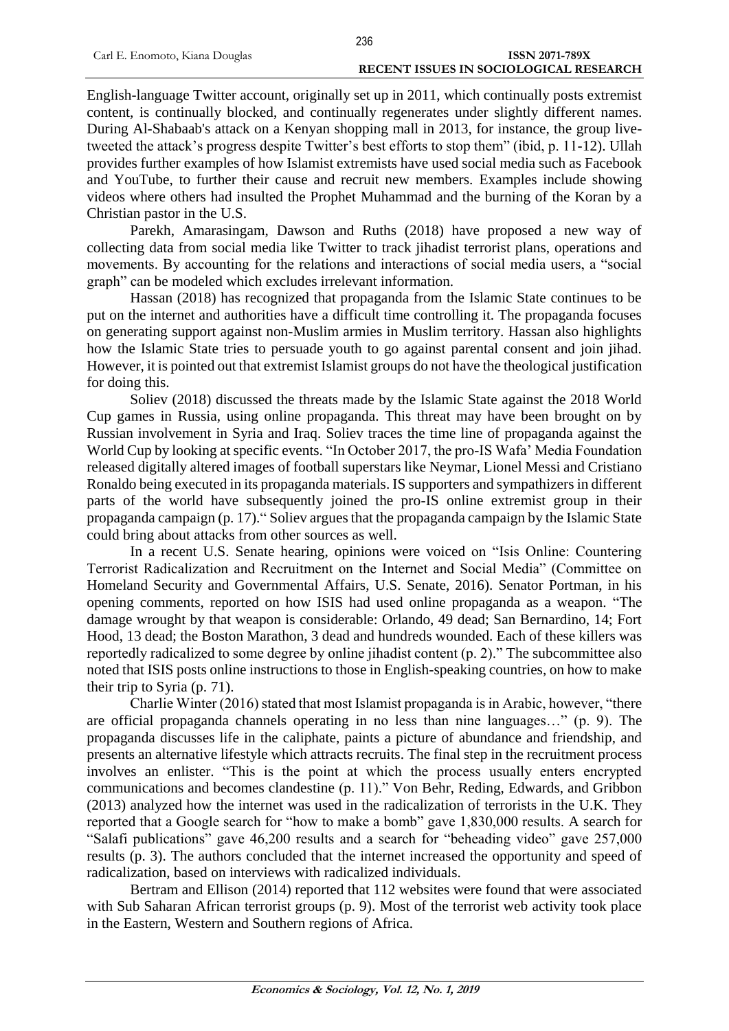English-language Twitter account, originally set up in 2011, which continually posts extremist content, is continually blocked, and continually regenerates under slightly different names. During Al-Shabaab's attack on a Kenyan shopping mall in 2013, for instance, the group livetweeted the attack's progress despite Twitter's best efforts to stop them" (ibid, p. 11-12). Ullah provides further examples of how Islamist extremists have used social media such as Facebook and YouTube, to further their cause and recruit new members. Examples include showing videos where others had insulted the Prophet Muhammad and the burning of the Koran by a Christian pastor in the U.S.

Parekh, Amarasingam, Dawson and Ruths (2018) have proposed a new way of collecting data from social media like Twitter to track jihadist terrorist plans, operations and movements. By accounting for the relations and interactions of social media users, a "social graph" can be modeled which excludes irrelevant information.

Hassan (2018) has recognized that propaganda from the Islamic State continues to be put on the internet and authorities have a difficult time controlling it. The propaganda focuses on generating support against non-Muslim armies in Muslim territory. Hassan also highlights how the Islamic State tries to persuade youth to go against parental consent and join jihad. However, it is pointed out that extremist Islamist groups do not have the theological justification for doing this.

Soliev (2018) discussed the threats made by the Islamic State against the 2018 World Cup games in Russia, using online propaganda. This threat may have been brought on by Russian involvement in Syria and Iraq. Soliev traces the time line of propaganda against the World Cup by looking at specific events. "In October 2017, the pro-IS Wafa' Media Foundation released digitally altered images of football superstars like Neymar, Lionel Messi and Cristiano Ronaldo being executed in its propaganda materials. IS supporters and sympathizers in different parts of the world have subsequently joined the pro-IS online extremist group in their propaganda campaign (p. 17)." Soliev argues that the propaganda campaign by the Islamic State could bring about attacks from other sources as well.

In a recent U.S. Senate hearing, opinions were voiced on "Isis Online: Countering Terrorist Radicalization and Recruitment on the Internet and Social Media" (Committee on Homeland Security and Governmental Affairs, U.S. Senate, 2016). Senator Portman, in his opening comments, reported on how ISIS had used online propaganda as a weapon. "The damage wrought by that weapon is considerable: Orlando, 49 dead; San Bernardino, 14; Fort Hood, 13 dead; the Boston Marathon, 3 dead and hundreds wounded. Each of these killers was reportedly radicalized to some degree by online jihadist content (p. 2)." The subcommittee also noted that ISIS posts online instructions to those in English-speaking countries, on how to make their trip to Syria (p. 71).

Charlie Winter (2016) stated that most Islamist propaganda is in Arabic, however, "there are official propaganda channels operating in no less than nine languages…" (p. 9). The propaganda discusses life in the caliphate, paints a picture of abundance and friendship, and presents an alternative lifestyle which attracts recruits. The final step in the recruitment process involves an enlister. "This is the point at which the process usually enters encrypted communications and becomes clandestine (p. 11)." Von Behr, Reding, Edwards, and Gribbon (2013) analyzed how the internet was used in the radicalization of terrorists in the U.K. They reported that a Google search for "how to make a bomb" gave 1,830,000 results. A search for "Salafi publications" gave 46,200 results and a search for "beheading video" gave 257,000 results (p. 3). The authors concluded that the internet increased the opportunity and speed of radicalization, based on interviews with radicalized individuals.

Bertram and Ellison (2014) reported that 112 websites were found that were associated with Sub Saharan African terrorist groups (p. 9). Most of the terrorist web activity took place in the Eastern, Western and Southern regions of Africa.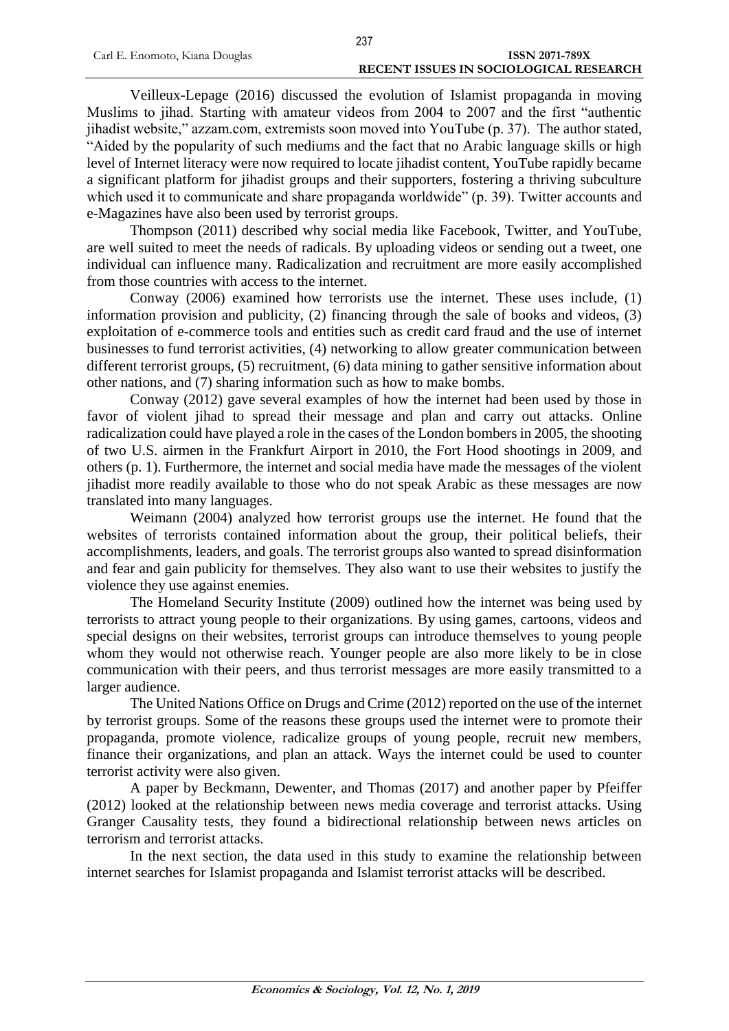Veilleux-Lepage (2016) discussed the evolution of Islamist propaganda in moving Muslims to jihad. Starting with amateur videos from 2004 to 2007 and the first "authentic jihadist website," azzam.com, extremists soon moved into YouTube (p. 37). The author stated, "Aided by the popularity of such mediums and the fact that no Arabic language skills or high level of Internet literacy were now required to locate jihadist content, YouTube rapidly became a significant platform for jihadist groups and their supporters, fostering a thriving subculture which used it to communicate and share propaganda worldwide" (p. 39). Twitter accounts and e-Magazines have also been used by terrorist groups.

Thompson (2011) described why social media like Facebook, Twitter, and YouTube, are well suited to meet the needs of radicals. By uploading videos or sending out a tweet, one individual can influence many. Radicalization and recruitment are more easily accomplished from those countries with access to the internet.

Conway (2006) examined how terrorists use the internet. These uses include, (1) information provision and publicity, (2) financing through the sale of books and videos, (3) exploitation of e-commerce tools and entities such as credit card fraud and the use of internet businesses to fund terrorist activities, (4) networking to allow greater communication between different terrorist groups, (5) recruitment, (6) data mining to gather sensitive information about other nations, and (7) sharing information such as how to make bombs.

Conway (2012) gave several examples of how the internet had been used by those in favor of violent jihad to spread their message and plan and carry out attacks. Online radicalization could have played a role in the cases of the London bombers in 2005, the shooting of two U.S. airmen in the Frankfurt Airport in 2010, the Fort Hood shootings in 2009, and others (p. 1). Furthermore, the internet and social media have made the messages of the violent jihadist more readily available to those who do not speak Arabic as these messages are now translated into many languages.

Weimann (2004) analyzed how terrorist groups use the internet. He found that the websites of terrorists contained information about the group, their political beliefs, their accomplishments, leaders, and goals. The terrorist groups also wanted to spread disinformation and fear and gain publicity for themselves. They also want to use their websites to justify the violence they use against enemies.

The Homeland Security Institute (2009) outlined how the internet was being used by terrorists to attract young people to their organizations. By using games, cartoons, videos and special designs on their websites, terrorist groups can introduce themselves to young people whom they would not otherwise reach. Younger people are also more likely to be in close communication with their peers, and thus terrorist messages are more easily transmitted to a larger audience.

The United Nations Office on Drugs and Crime (2012) reported on the use of the internet by terrorist groups. Some of the reasons these groups used the internet were to promote their propaganda, promote violence, radicalize groups of young people, recruit new members, finance their organizations, and plan an attack. Ways the internet could be used to counter terrorist activity were also given.

A paper by Beckmann, Dewenter, and Thomas (2017) and another paper by Pfeiffer (2012) looked at the relationship between news media coverage and terrorist attacks. Using Granger Causality tests, they found a bidirectional relationship between news articles on terrorism and terrorist attacks.

In the next section, the data used in this study to examine the relationship between internet searches for Islamist propaganda and Islamist terrorist attacks will be described.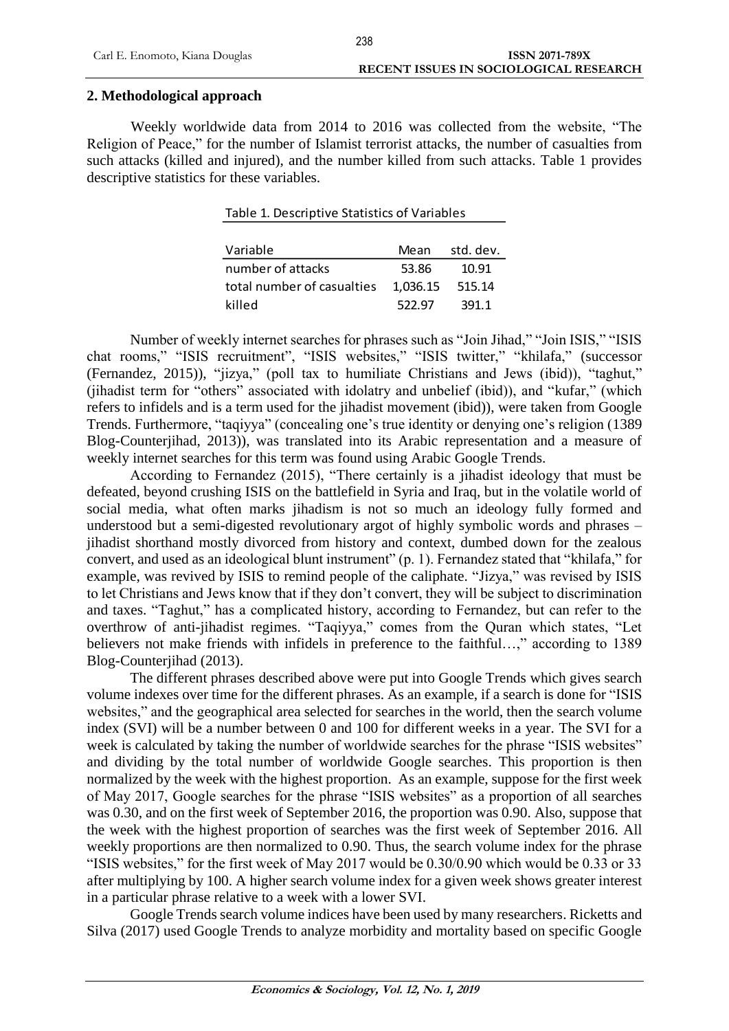## **2. Methodological approach**

Weekly worldwide data from 2014 to 2016 was collected from the website, "The Religion of Peace," for the number of Islamist terrorist attacks, the number of casualties from such attacks (killed and injured), and the number killed from such attacks. Table 1 provides descriptive statistics for these variables.

Table 1. Descriptive Statistics of Variables

| Mean     | std. dev. |
|----------|-----------|
| 53.86    | 10.91     |
| 1,036.15 | 515.14    |
| 522.97   | 391.1     |
|          |           |

Number of weekly internet searches for phrases such as "Join Jihad," "Join ISIS," "ISIS chat rooms," "ISIS recruitment", "ISIS websites," "ISIS twitter," "khilafa," (successor (Fernandez, 2015)), "jizya," (poll tax to humiliate Christians and Jews (ibid)), "taghut," (jihadist term for "others" associated with idolatry and unbelief (ibid)), and "kufar," (which refers to infidels and is a term used for the jihadist movement (ibid)), were taken from Google Trends. Furthermore, "taqiyya" (concealing one's true identity or denying one's religion (1389 Blog-Counterjihad, 2013)), was translated into its Arabic representation and a measure of weekly internet searches for this term was found using Arabic Google Trends.

According to Fernandez (2015), "There certainly is a jihadist ideology that must be defeated, beyond crushing ISIS on the battlefield in Syria and Iraq, but in the volatile world of social media, what often marks jihadism is not so much an ideology fully formed and understood but a semi-digested revolutionary argot of highly symbolic words and phrases – jihadist shorthand mostly divorced from history and context, dumbed down for the zealous convert, and used as an ideological blunt instrument" (p. 1). Fernandez stated that "khilafa," for example, was revived by ISIS to remind people of the caliphate. "Jizya," was revised by ISIS to let Christians and Jews know that if they don't convert, they will be subject to discrimination and taxes. "Taghut," has a complicated history, according to Fernandez, but can refer to the overthrow of anti-jihadist regimes. "Taqiyya," comes from the Quran which states, "Let believers not make friends with infidels in preference to the faithful...," according to 1389 Blog-Counterjihad (2013).

The different phrases described above were put into Google Trends which gives search volume indexes over time for the different phrases. As an example, if a search is done for "ISIS websites," and the geographical area selected for searches in the world, then the search volume index (SVI) will be a number between 0 and 100 for different weeks in a year. The SVI for a week is calculated by taking the number of worldwide searches for the phrase "ISIS websites" and dividing by the total number of worldwide Google searches. This proportion is then normalized by the week with the highest proportion. As an example, suppose for the first week of May 2017, Google searches for the phrase "ISIS websites" as a proportion of all searches was 0.30, and on the first week of September 2016, the proportion was 0.90. Also, suppose that the week with the highest proportion of searches was the first week of September 2016. All weekly proportions are then normalized to 0.90. Thus, the search volume index for the phrase "ISIS websites," for the first week of May 2017 would be 0.30/0.90 which would be 0.33 or 33 after multiplying by 100. A higher search volume index for a given week shows greater interest in a particular phrase relative to a week with a lower SVI.

Google Trends search volume indices have been used by many researchers. Ricketts and Silva (2017) used Google Trends to analyze morbidity and mortality based on specific Google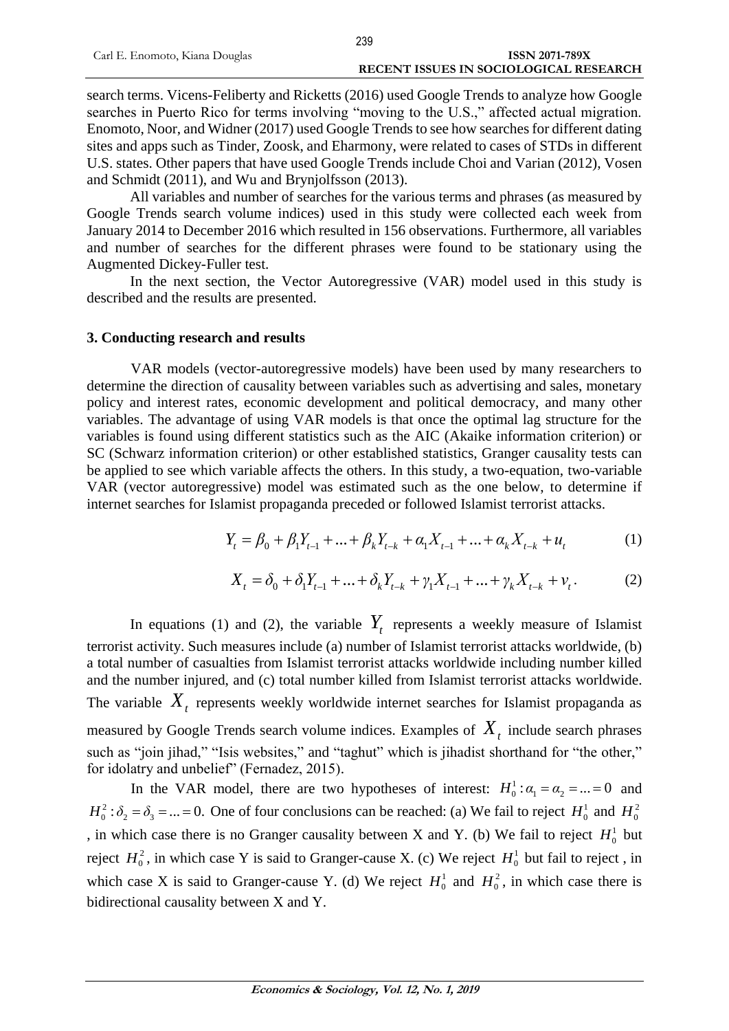search terms. Vicens-Feliberty and Ricketts (2016) used Google Trends to analyze how Google searches in Puerto Rico for terms involving "moving to the U.S.," affected actual migration. Enomoto, Noor, and Widner (2017) used Google Trends to see how searches for different dating sites and apps such as Tinder, Zoosk, and Eharmony, were related to cases of STDs in different U.S. states. Other papers that have used Google Trends include Choi and Varian (2012), Vosen and Schmidt (2011), and Wu and Brynjolfsson (2013).

All variables and number of searches for the various terms and phrases (as measured by Google Trends search volume indices) used in this study were collected each week from January 2014 to December 2016 which resulted in 156 observations. Furthermore, all variables and number of searches for the different phrases were found to be stationary using the Augmented Dickey-Fuller test.

In the next section, the Vector Autoregressive (VAR) model used in this study is described and the results are presented.

#### **3. Conducting research and results**

VAR models (vector-autoregressive models) have been used by many researchers to determine the direction of causality between variables such as advertising and sales, monetary policy and interest rates, economic development and political democracy, and many other variables. The advantage of using VAR models is that once the optimal lag structure for the variables is found using different statistics such as the AIC (Akaike information criterion) or SC (Schwarz information criterion) or other established statistics, Granger causality tests can be applied to see which variable affects the others. In this study, a two-equation, two-variable VAR (vector autoregressive) model was estimated such as the one below, to determine if internet searches for Islamist propaganda preceded or followed Islamist terrorist attacks.

$$
Y_{t} = \beta_{0} + \beta_{1}Y_{t-1} + \dots + \beta_{k}Y_{t-k} + \alpha_{1}X_{t-1} + \dots + \alpha_{k}X_{t-k} + u_{t}
$$
 (1)

$$
X_{t} = \delta_{0} + \delta_{1} Y_{t-1} + \dots + \delta_{k} Y_{t-k} + \gamma_{1} X_{t-1} + \dots + \gamma_{k} X_{t-k} + \nu_{t}.
$$
 (2)

In equations (1) and (2), the variable  $Y_t$  represents a weekly measure of Islamist terrorist activity. Such measures include (a) number of Islamist terrorist attacks worldwide, (b) a total number of casualties from Islamist terrorist attacks worldwide including number killed and the number injured, and (c) total number killed from Islamist terrorist attacks worldwide. The variable  $X_t$  represents weekly worldwide internet searches for Islamist propaganda as measured by Google Trends search volume indices. Examples of *Xt* include search phrases such as "join jihad," "Isis websites," and "taghut" which is jihadist shorthand for "the other," for idolatry and unbelief" (Fernadez, 2015).

In the VAR model, there are two hypotheses of interest:  $H_0^1$ :  $\alpha_1 = \alpha_2 = ... = 0$  and  $H_0^2$ :  $\delta_2 = \delta_3 = ... = 0$ . One of four conclusions can be reached: (a) We fail to reject  $H_0^1$  and  $H_0^2$ , in which case there is no Granger causality between X and Y. (b) We fail to reject  $H_0^1$  but reject  $H_0^2$ , in which case Y is said to Granger-cause X. (c) We reject  $H_0^1$  but fail to reject, in which case X is said to Granger-cause Y. (d) We reject  $H_0^1$  and  $H_0^2$ , in which case there is bidirectional causality between X and Y.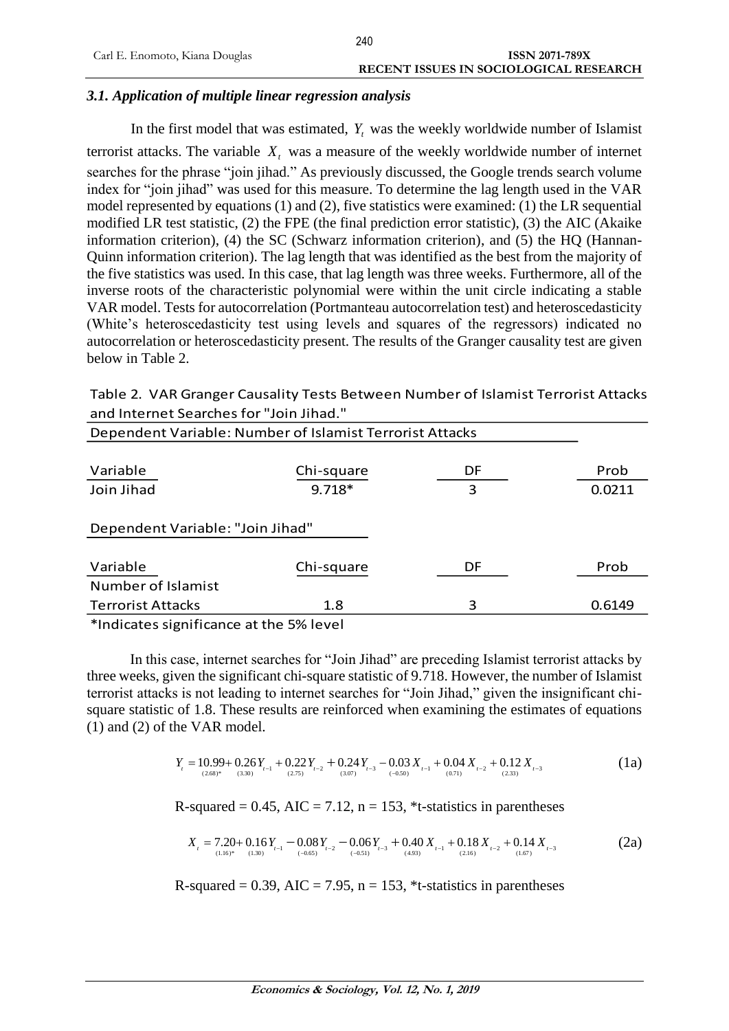## *3.1. Application of multiple linear regression analysis*

In the first model that was estimated,  $Y_t$  was the weekly worldwide number of Islamist terrorist attacks. The variable  $X_t$  was a measure of the weekly worldwide number of internet searches for the phrase "join jihad." As previously discussed, the Google trends search volume index for "join jihad" was used for this measure. To determine the lag length used in the VAR model represented by equations (1) and (2), five statistics were examined: (1) the LR sequential modified LR test statistic, (2) the FPE (the final prediction error statistic), (3) the AIC (Akaike information criterion), (4) the SC (Schwarz information criterion), and (5) the HQ (Hannan-Quinn information criterion). The lag length that was identified as the best from the majority of the five statistics was used. In this case, that lag length was three weeks. Furthermore, all of the inverse roots of the characteristic polynomial were within the unit circle indicating a stable VAR model. Tests for autocorrelation (Portmanteau autocorrelation test) and heteroscedasticity (White's heteroscedasticity test using levels and squares of the regressors) indicated no autocorrelation or heteroscedasticity present. The results of the Granger causality test are given below in Table 2.

| Table 2. VAR Granger Causality Tests Between Number of Islamist Terrorist Attacks |
|-----------------------------------------------------------------------------------|
| and Internet Searches for "Join Jihad."                                           |

| Dependent Variable: Number of Islamist Terrorist Attacks |            |    |        |  |  |  |
|----------------------------------------------------------|------------|----|--------|--|--|--|
| Variable                                                 | Chi-square | DF | Prob   |  |  |  |
| Join Jihad                                               | $9.718*$   | 3  | 0.0211 |  |  |  |
| Dependent Variable: "Join Jihad"                         |            |    |        |  |  |  |
| Variable                                                 | Chi-square | DF | Prob   |  |  |  |
| Number of Islamist                                       |            |    |        |  |  |  |
| <b>Terrorist Attacks</b>                                 | 1.8        | 3  | 0.6149 |  |  |  |
|                                                          |            |    |        |  |  |  |

\*Indicates significance at the 5% level

In this case, internet searches for "Join Jihad" are preceding Islamist terrorist attacks by three weeks, given the significant chi-square statistic of 9.718. However, the number of Islamist terrorist attacks is not leading to internet searches for "Join Jihad," given the insignificant chisquare statistic of 1.8. These results are reinforced when examining the estimates of equations (1) and (2) of the VAR model.

$$
Y_{t} = 10.99 + 0.26 Y_{t-1} + 0.22 Y_{t-2} + 0.24 Y_{t-3} - 0.03 X_{t-1} + 0.04 X_{t-2} + 0.12 X_{t-3}
$$
\n
$$
(1a)
$$
\n
$$
(1a)
$$

R-squared =  $0.45$ , AIC =  $7.12$ , n = 153,  $*$ t-statistics in parentheses

$$
X_{t} = 7.20 + 0.16Y_{t-1} - 0.08Y_{t-2} - 0.06Y_{t-3} + 0.40X_{t-1} + 0.18X_{t-2} + 0.14X_{t-3}
$$
\n
$$
(2a)
$$
\n
$$
(2a)
$$

R-squared =  $0.39$ , AIC =  $7.95$ , n =  $153$ , \*t-statistics in parentheses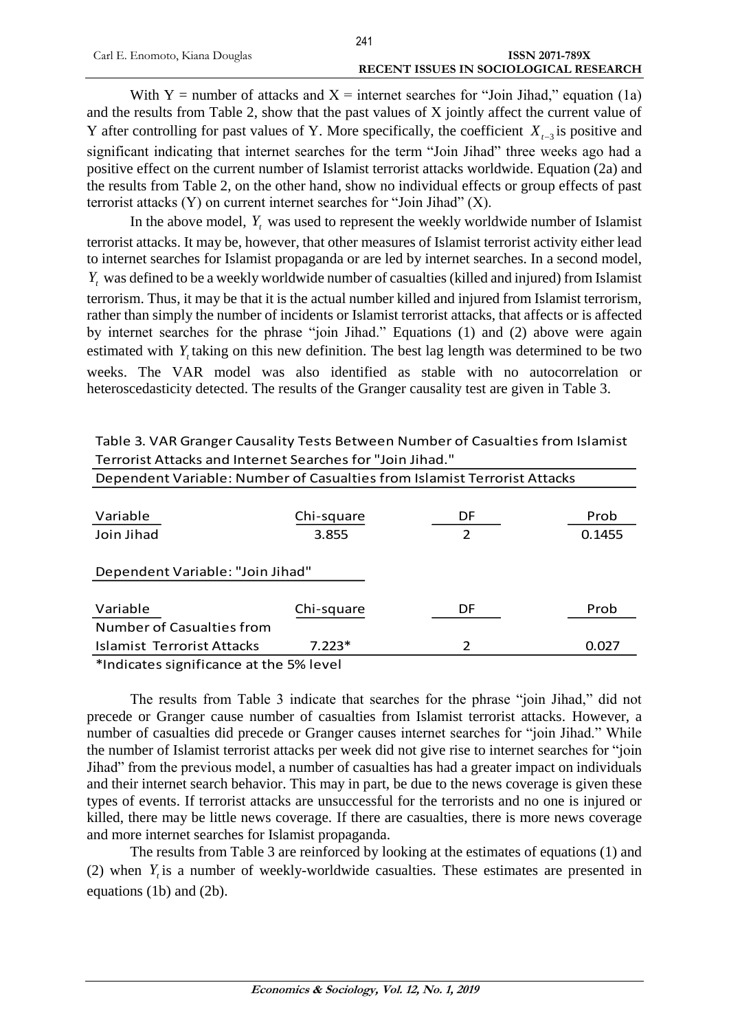With Y = number of attacks and X = internet searches for "Join Jihad," equation (1a) and the results from Table 2, show that the past values of X jointly affect the current value of Y after controlling for past values of Y. More specifically, the coefficient  $X_{t-3}$  is positive and significant indicating that internet searches for the term "Join Jihad" three weeks ago had a positive effect on the current number of Islamist terrorist attacks worldwide. Equation (2a) and the results from Table 2, on the other hand, show no individual effects or group effects of past terrorist attacks (Y) on current internet searches for "Join Jihad" (X).

In the above model,  $Y_t$  was used to represent the weekly worldwide number of Islamist terrorist attacks. It may be, however, that other measures of Islamist terrorist activity either lead to internet searches for Islamist propaganda or are led by internet searches. In a second model, *Yt* was defined to be a weekly worldwide number of casualties (killed and injured) from Islamist terrorism. Thus, it may be that it is the actual number killed and injured from Islamist terrorism, rather than simply the number of incidents or Islamist terrorist attacks, that affects or is affected by internet searches for the phrase "join Jihad." Equations (1) and (2) above were again estimated with  $Y_t$  taking on this new definition. The best lag length was determined to be two weeks. The VAR model was also identified as stable with no autocorrelation or heteroscedasticity detected. The results of the Granger causality test are given in Table 3.

| Chi-square | DF                               | Prob                                                                     |
|------------|----------------------------------|--------------------------------------------------------------------------|
| 3.855      | $\mathcal{P}$                    | 0.1455                                                                   |
|            |                                  |                                                                          |
|            |                                  |                                                                          |
|            |                                  |                                                                          |
| Chi-square | DF                               | Prob                                                                     |
|            |                                  |                                                                          |
| $7.223*$   | 2                                | 0.027                                                                    |
|            | Dependent Variable: "Join Jihad" | Dependent Variable: Number of Casualties from Islamist Terrorist Attacks |

Table 3. VAR Granger Causality Tests Between Number of Casualties from Islamist Terrorist Attacks and Internet Searches for "Join Jihad."

\*Indicates significance at the 5% level

The results from Table 3 indicate that searches for the phrase "join Jihad," did not precede or Granger cause number of casualties from Islamist terrorist attacks. However, a number of casualties did precede or Granger causes internet searches for "join Jihad." While the number of Islamist terrorist attacks per week did not give rise to internet searches for "join Jihad" from the previous model, a number of casualties has had a greater impact on individuals and their internet search behavior. This may in part, be due to the news coverage is given these types of events. If terrorist attacks are unsuccessful for the terrorists and no one is injured or killed, there may be little news coverage. If there are casualties, there is more news coverage and more internet searches for Islamist propaganda.

The results from Table 3 are reinforced by looking at the estimates of equations (1) and (2) when  $Y_t$  is a number of weekly-worldwide casualties. These estimates are presented in equations (1b) and (2b).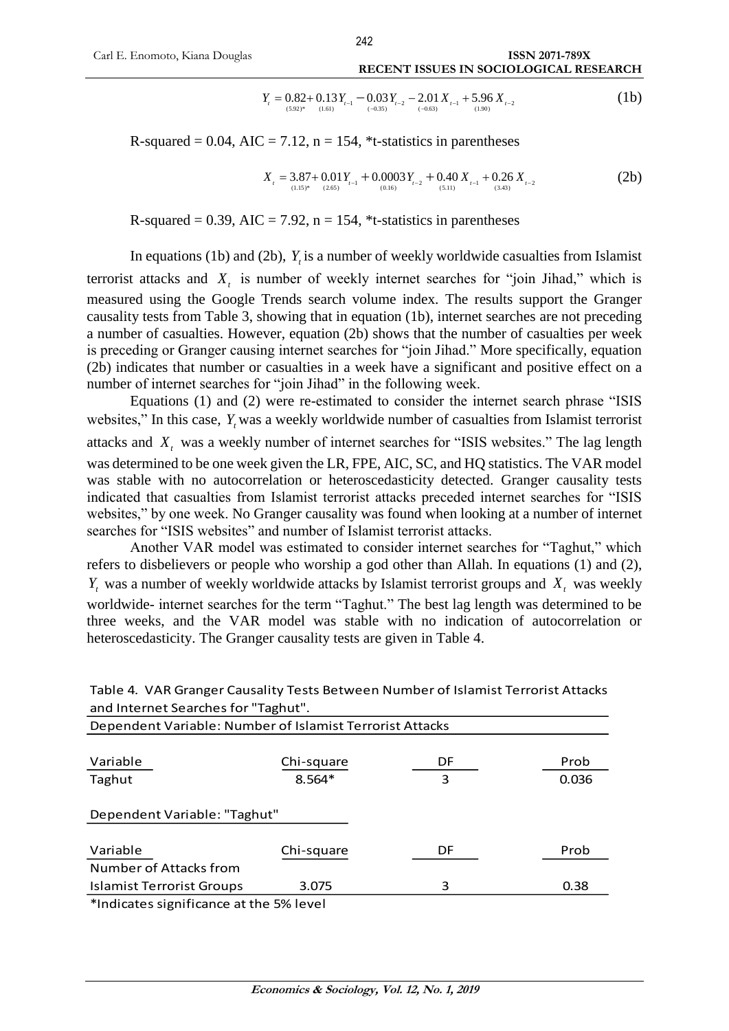$$
Y_{t} = 0.82 + 0.13 Y_{t-1} - 0.03 Y_{t-2} - 2.01 X_{t-1} + 5.96 X_{t-2}
$$
\n
$$
(1b)
$$

R-squared = 0.04, AIC = 7.12, n = 154, \*t-statistics in parentheses<br>  $X_i = 3.87 + 0.01Y_{i-1} + 0.0003Y_{i-2} + 0.40X_{i-1} + 0.26X_{i-1}$ 

$$
X_{t} = 3.87 + 0.01Y_{t-1} + 0.0003Y_{t-2} + 0.40X_{t-1} + 0.26X_{t-2}
$$
\n
$$
(2b)
$$

R-squared = 0.39, AIC = 7.92,  $n = 154$ , \*t-statistics in parentheses

In equations (1b) and (2b),  $Y_t$  is a number of weekly worldwide casualties from Islamist terrorist attacks and  $X_t$  is number of weekly internet searches for "join Jihad," which is measured using the Google Trends search volume index. The results support the Granger causality tests from Table 3, showing that in equation (1b), internet searches are not preceding a number of casualties. However, equation (2b) shows that the number of casualties per week is preceding or Granger causing internet searches for "join Jihad." More specifically, equation (2b) indicates that number or casualties in a week have a significant and positive effect on a number of internet searches for "join Jihad" in the following week.

Equations (1) and (2) were re-estimated to consider the internet search phrase "ISIS websites," In this case, Y<sub>t</sub> was a weekly worldwide number of casualties from Islamist terrorist attacks and *Xt* was a weekly number of internet searches for "ISIS websites." The lag length was determined to be one week given the LR, FPE, AIC, SC, and HQ statistics. The VAR model was stable with no autocorrelation or heteroscedasticity detected. Granger causality tests indicated that casualties from Islamist terrorist attacks preceded internet searches for "ISIS websites," by one week. No Granger causality was found when looking at a number of internet searches for "ISIS websites" and number of Islamist terrorist attacks.

Another VAR model was estimated to consider internet searches for "Taghut," which refers to disbelievers or people who worship a god other than Allah. In equations (1) and (2), *Yt* was a number of weekly worldwide attacks by Islamist terrorist groups and *Xt* was weekly worldwide- internet searches for the term "Taghut." The best lag length was determined to be three weeks, and the VAR model was stable with no indication of autocorrelation or heteroscedasticity. The Granger causality tests are given in Table 4.

| and internet searches for                                | Tagnut .   |    |       |
|----------------------------------------------------------|------------|----|-------|
| Dependent Variable: Number of Islamist Terrorist Attacks |            |    |       |
|                                                          |            |    |       |
| Variable                                                 | Chi-square | DF | Prob  |
| Taghut                                                   | 8.564*     | 3  | 0.036 |
|                                                          |            |    |       |
| Dependent Variable: "Taghut"                             |            |    |       |
|                                                          |            |    |       |
| Variable                                                 | Chi-square | DF | Prob  |
| Number of Attacks from                                   |            |    |       |
| <b>Islamist Terrorist Groups</b>                         | 3.075      | 3  | 0.38  |
|                                                          |            |    |       |

Table 4. VAR Granger Causality Tests Between Number of Islamist Terrorist Attacks and Internet Searches for "Taghut".

\*Indicates significance at the 5% level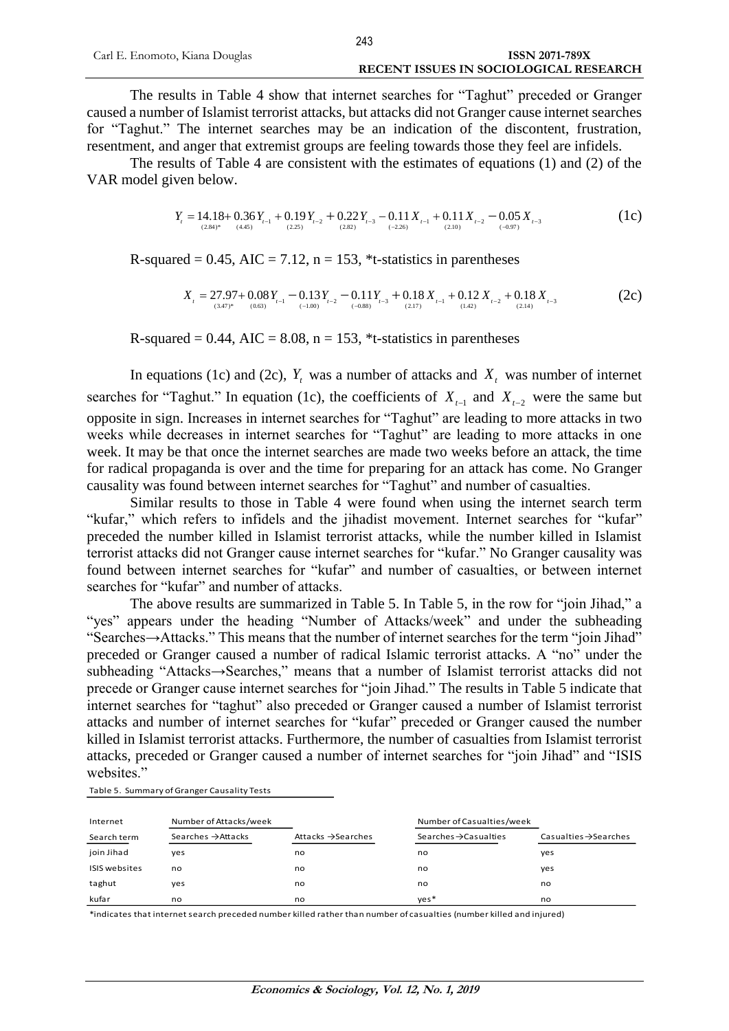The results in Table 4 show that internet searches for "Taghut" preceded or Granger caused a number of Islamist terrorist attacks, but attacks did not Granger cause internet searches for "Taghut." The internet searches may be an indication of the discontent, frustration, resentment, and anger that extremist groups are feeling towards those they feel are infidels.

The results of Table 4 are consistent with the estimates of equations (1) and (2) of the VAR model given below.

$$
Y_{t} = 14.18 + 0.36 Y_{t-1} + 0.19 Y_{t-2} + 0.22 Y_{t-3} - 0.11 X_{t-1} + 0.11 X_{t-2} - 0.05 X_{t-3}
$$
  
(1c) (1d)

R-squared =  $0.45$ , AIC =  $7.12$ , n =  $153$ ,  $*$ t-statistics in parentheses

$$
X_{t} = 27.97 + 0.08 Y_{t-1} - 0.13 Y_{t-2} - 0.11 Y_{t-3} + 0.18 X_{t-1} + 0.12 X_{t-2} + 0.18 X_{t-3}
$$
\n
$$
(2c)
$$
\n
$$
(2c)
$$

R-squared  $= 0.44$ , AIC  $= 8.08$ ,  $n = 153$ ,  $*$ t-statistics in parentheses

In equations (1c) and (2c),  $Y_t$  was a number of attacks and  $X_t$  was number of internet searches for "Taghut." In equation (1c), the coefficients of  $X_{t-1}$  and  $X_{t-2}$  were the same but opposite in sign. Increases in internet searches for "Taghut" are leading to more attacks in two weeks while decreases in internet searches for "Taghut" are leading to more attacks in one week. It may be that once the internet searches are made two weeks before an attack, the time for radical propaganda is over and the time for preparing for an attack has come. No Granger causality was found between internet searches for "Taghut" and number of casualties.

Similar results to those in Table 4 were found when using the internet search term "kufar," which refers to infidels and the jihadist movement. Internet searches for "kufar" preceded the number killed in Islamist terrorist attacks, while the number killed in Islamist terrorist attacks did not Granger cause internet searches for "kufar." No Granger causality was found between internet searches for "kufar" and number of casualties, or between internet searches for "kufar" and number of attacks.

The above results are summarized in Table 5. In Table 5, in the row for "join Jihad," a "yes" appears under the heading "Number of Attacks/week" and under the subheading "Searches→Attacks." This means that the number of internet searches for the term "join Jihad" preceded or Granger caused a number of radical Islamic terrorist attacks. A "no" under the subheading "Attacks→Searches," means that a number of Islamist terrorist attacks did not precede or Granger cause internet searches for "join Jihad." The results in Table 5 indicate that internet searches for "taghut" also preceded or Granger caused a number of Islamist terrorist attacks and number of internet searches for "kufar" preceded or Granger caused the number killed in Islamist terrorist attacks. Furthermore, the number of casualties from Islamist terrorist attacks, preceded or Granger caused a number of internet searches for "join Jihad" and "ISIS websites."

Table 5. Summary of Granger Causality Tests

| Internet             | Number of Attacks/week         |                                | Number of Casualties/week         |                                   |
|----------------------|--------------------------------|--------------------------------|-----------------------------------|-----------------------------------|
| Search term          | Searches $\rightarrow$ Attacks | Attacks $\rightarrow$ Searches | Searches $\rightarrow$ Casualties | Casualties $\rightarrow$ Searches |
| join Jihad           | ves                            | no                             | no                                | yes                               |
| <b>ISIS</b> websites | no                             | no                             | no                                | yes                               |
| taghut               | yes                            | no                             | no                                | no                                |
| kufar                | no                             | no                             | $ves*$                            | no                                |

\*indicates that internet search preceded number killed rather than number of casualties (number killed and injured)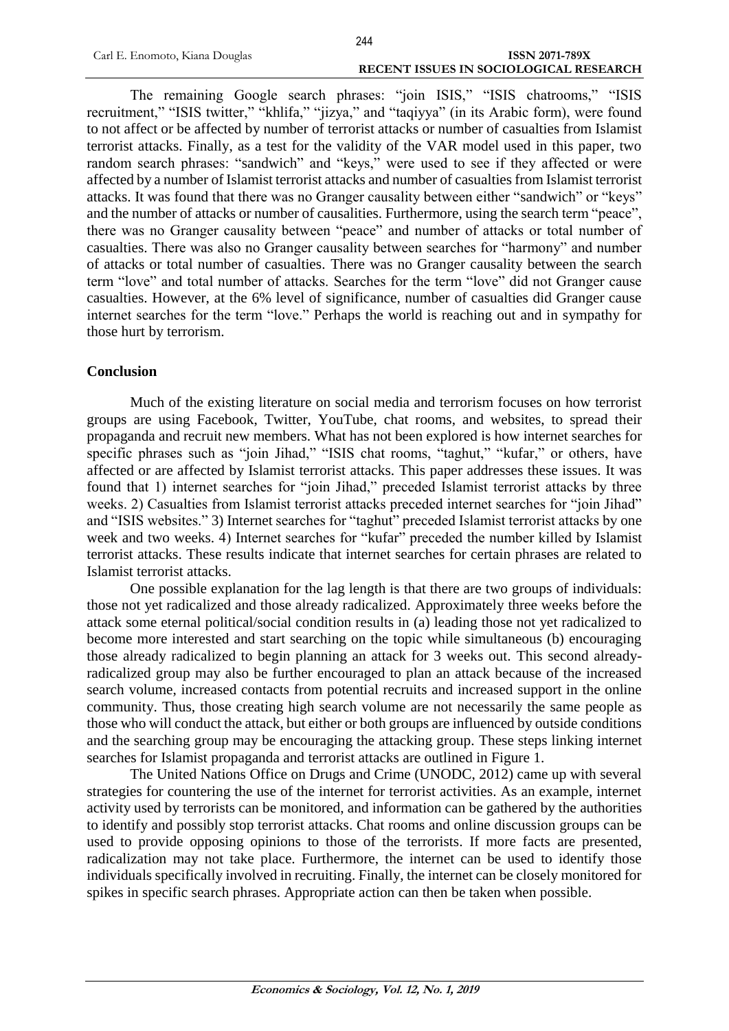The remaining Google search phrases: "join ISIS," "ISIS chatrooms," "ISIS recruitment," "ISIS twitter," "khlifa," "jizya," and "taqiyya" (in its Arabic form), were found to not affect or be affected by number of terrorist attacks or number of casualties from Islamist terrorist attacks. Finally, as a test for the validity of the VAR model used in this paper, two random search phrases: "sandwich" and "keys," were used to see if they affected or were affected by a number of Islamist terrorist attacks and number of casualties from Islamist terrorist attacks. It was found that there was no Granger causality between either "sandwich" or "keys" and the number of attacks or number of causalities. Furthermore, using the search term "peace", there was no Granger causality between "peace" and number of attacks or total number of casualties. There was also no Granger causality between searches for "harmony" and number of attacks or total number of casualties. There was no Granger causality between the search term "love" and total number of attacks. Searches for the term "love" did not Granger cause casualties. However, at the 6% level of significance, number of casualties did Granger cause internet searches for the term "love." Perhaps the world is reaching out and in sympathy for those hurt by terrorism.

#### **Conclusion**

Much of the existing literature on social media and terrorism focuses on how terrorist groups are using Facebook, Twitter, YouTube, chat rooms, and websites, to spread their propaganda and recruit new members. What has not been explored is how internet searches for specific phrases such as "join Jihad," "ISIS chat rooms, "taghut," "kufar," or others, have affected or are affected by Islamist terrorist attacks. This paper addresses these issues. It was found that 1) internet searches for "join Jihad," preceded Islamist terrorist attacks by three weeks. 2) Casualties from Islamist terrorist attacks preceded internet searches for "join Jihad" and "ISIS websites." 3) Internet searches for "taghut" preceded Islamist terrorist attacks by one week and two weeks. 4) Internet searches for "kufar" preceded the number killed by Islamist terrorist attacks. These results indicate that internet searches for certain phrases are related to Islamist terrorist attacks.

One possible explanation for the lag length is that there are two groups of individuals: those not yet radicalized and those already radicalized. Approximately three weeks before the attack some eternal political/social condition results in (a) leading those not yet radicalized to become more interested and start searching on the topic while simultaneous (b) encouraging those already radicalized to begin planning an attack for 3 weeks out. This second alreadyradicalized group may also be further encouraged to plan an attack because of the increased search volume, increased contacts from potential recruits and increased support in the online community. Thus, those creating high search volume are not necessarily the same people as those who will conduct the attack, but either or both groups are influenced by outside conditions and the searching group may be encouraging the attacking group. These steps linking internet searches for Islamist propaganda and terrorist attacks are outlined in Figure 1.

The United Nations Office on Drugs and Crime (UNODC, 2012) came up with several strategies for countering the use of the internet for terrorist activities. As an example, internet activity used by terrorists can be monitored, and information can be gathered by the authorities to identify and possibly stop terrorist attacks. Chat rooms and online discussion groups can be used to provide opposing opinions to those of the terrorists. If more facts are presented, radicalization may not take place. Furthermore, the internet can be used to identify those individuals specifically involved in recruiting. Finally, the internet can be closely monitored for spikes in specific search phrases. Appropriate action can then be taken when possible.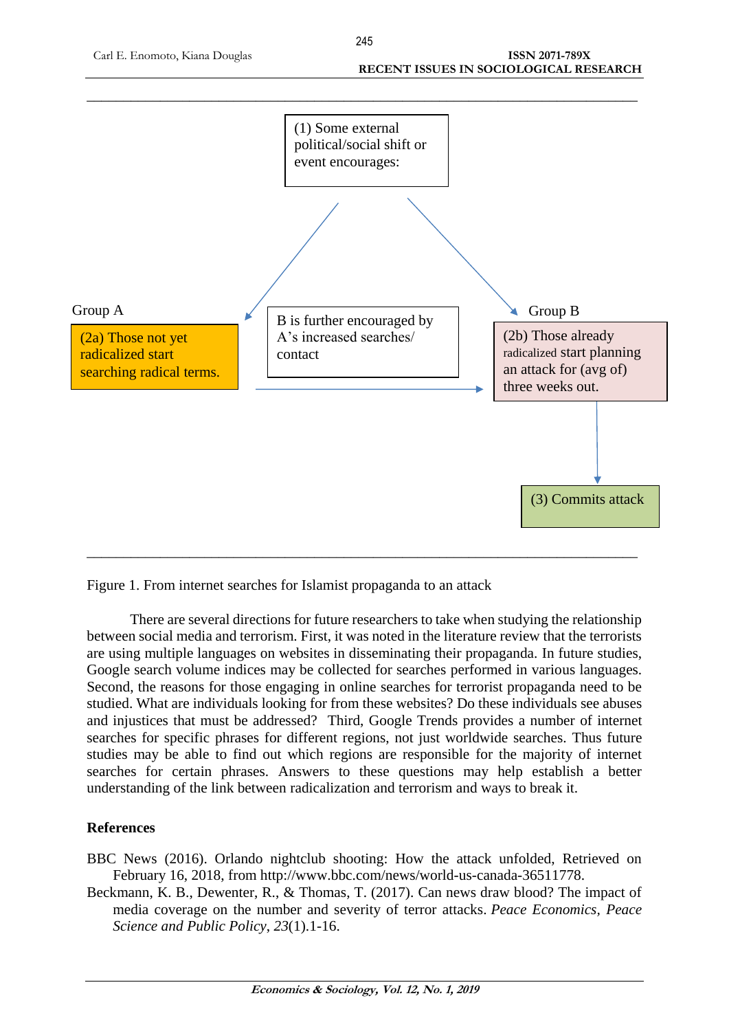

Figure 1. From internet searches for Islamist propaganda to an attack

There are several directions for future researchers to take when studying the relationship between social media and terrorism. First, it was noted in the literature review that the terrorists are using multiple languages on websites in disseminating their propaganda. In future studies, Google search volume indices may be collected for searches performed in various languages. Second, the reasons for those engaging in online searches for terrorist propaganda need to be studied. What are individuals looking for from these websites? Do these individuals see abuses and injustices that must be addressed? Third, Google Trends provides a number of internet searches for specific phrases for different regions, not just worldwide searches. Thus future studies may be able to find out which regions are responsible for the majority of internet searches for certain phrases. Answers to these questions may help establish a better understanding of the link between radicalization and terrorism and ways to break it.

# **References**

- BBC News (2016). Orlando nightclub shooting: How the attack unfolded, Retrieved on February 16, 2018, from http://www.bbc.com/news/world-us-canada-36511778.
- Beckmann, K. B., Dewenter, R., & Thomas, T. (2017). Can news draw blood? The impact of media coverage on the number and severity of terror attacks. *Peace Economics, Peace Science and Public Policy*, *23*(1).1-16.

245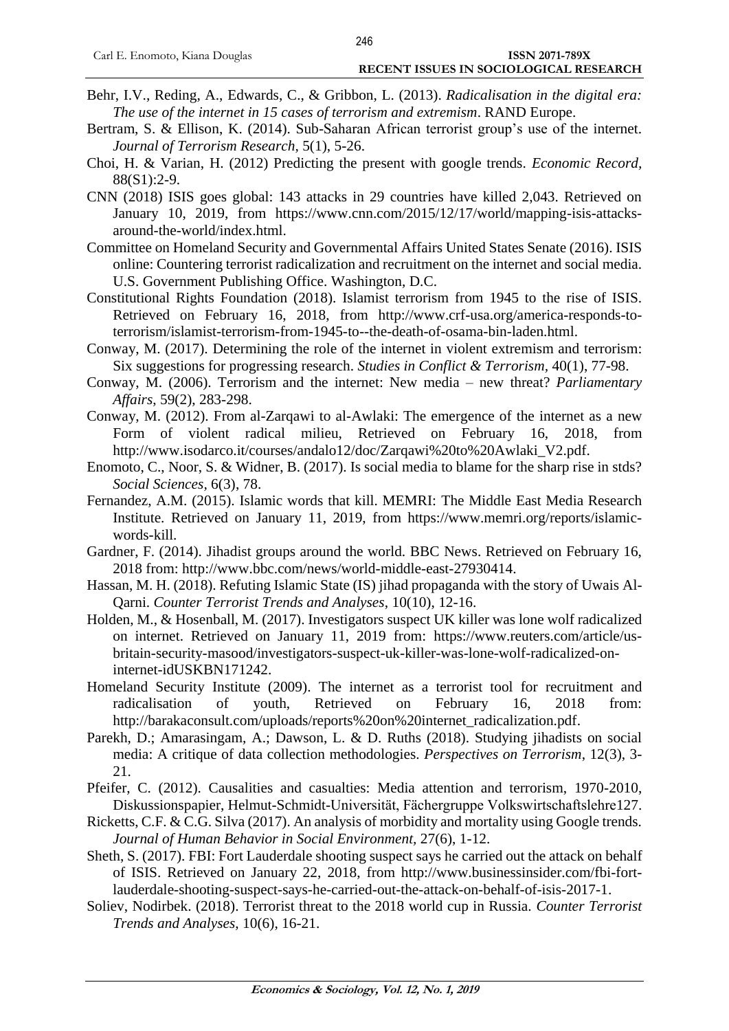- Behr, I.V., Reding, A., Edwards, C., & Gribbon, L. (2013). *Radicalisation in the digital era: The use of the internet in 15 cases of terrorism and extremism*. RAND Europe.
- Bertram, S. & Ellison, K. (2014). Sub-Saharan African terrorist group's use of the internet. *Journal of Terrorism Research,* 5(1), 5-26.
- Choi, H. & Varian, H. (2012) Predicting the present with google trends. *Economic Record,* 88(S1):2-9.
- CNN (2018) ISIS goes global: 143 attacks in 29 countries have killed 2,043. Retrieved on January 10, 2019, from [https://www.cnn.com/2015/12/17/world/mapping-isis-attacks](https://www.cnn.com/2015/12/17/world/mapping-isis-attacks-)around-the-world/index.html.
- Committee on Homeland Security and Governmental Affairs United States Senate (2016). ISIS online: Countering terrorist radicalization and recruitment on the internet and social media. U.S. Government Publishing Office. Washington, D.C.
- Constitutional Rights Foundation (2018). Islamist terrorism from 1945 to the rise of ISIS. Retrieved on February 16, 2018, from [http://www.crf-usa.org/america-responds-to](http://www.crf-usa.org/america-responds-to-terrorism/islamist-terrorism-from-1945-to--the-death-of-osama-bin-laden.html)[terrorism/islamist-terrorism-from-1945-to--the-death-of-osama-bin-laden.html.](http://www.crf-usa.org/america-responds-to-terrorism/islamist-terrorism-from-1945-to--the-death-of-osama-bin-laden.html)
- Conway, M. (2017). Determining the role of the internet in violent extremism and terrorism: Six suggestions for progressing research. *Studies in Conflict & Terrorism,* 40(1), 77-98.
- Conway, M. (2006). Terrorism and the internet: New media new threat? *Parliamentary Affairs*, 59(2), 283-298.
- Conway, M. (2012). From al-Zarqawi to al-Awlaki: The emergence of the internet as a new Form of violent radical milieu, Retrieved on February 16, 2018, from http://www.isodarco.it/courses/andalo12/doc/Zarqawi%20to%20Awlaki\_V2.pdf.
- Enomoto, C., Noor, S. & Widner, B. (2017). Is social media to blame for the sharp rise in stds? *Social Sciences,* 6(3), 78.
- Fernandez, A.M. (2015). Islamic words that kill. MEMRI: The Middle East Media Research Institute. Retrieved on January 11, 2019, from [https://www.memri.org/reports/islamic](https://www.memri.org/reports/islamic-)words-kill.
- Gardner, F. (2014). Jihadist groups around the world. BBC News. Retrieved on February 16, 2018 from: [http://www.bbc.com/news/world-middle-east-27930414.](http://www.bbc.com/news/world-middle-east-27930414)
- Hassan, M. H. (2018). Refuting Islamic State (IS) jihad propaganda with the story of Uwais Al-Qarni. *Counter Terrorist Trends and Analyses*, 10(10), 12-16.
- Holden, M., & Hosenball, M. (2017). Investigators suspect UK killer was lone wolf radicalized on internet. Retrieved on January 11, 2019 from: [https://www.reuters.com/article/us](https://www.reuters.com/article/us-britain-)[britain-s](https://www.reuters.com/article/us-britain-)ecurity-masood/investigators-suspect-uk-killer-was-lone-wolf-radicalized-oninternet-idUSKBN171242.
- Homeland Security Institute (2009). The internet as a terrorist tool for recruitment and radicalisation of youth, Retrieved on February 16, 2018 from: [http://barakaconsult.com/uploads/reports%20on%20internet\\_radicalization.pdf.](http://barakaconsult.com/uploads/reports%20on%20internet_radicalization.pdf)
- Parekh, D.; Amarasingam, A.; Dawson, L. & D. Ruths (2018). Studying jihadists on social media: A critique of data collection methodologies. *Perspectives on Terrorism*, 12(3), 3- 21.
- Pfeifer, C. (2012). Causalities and casualties: Media attention and terrorism, 1970-2010, Diskussionspapier, Helmut-Schmidt-Universität, Fächergruppe Volkswirtschaftslehre127.
- Ricketts, C.F. & C.G. Silva (2017). An analysis of morbidity and mortality using Google trends. *Journal of Human Behavior in Social Environment,* 27(6), 1-12.
- Sheth, S. (2017). FBI: Fort Lauderdale shooting suspect says he carried out the attack on behalf of ISIS. Retrieved on January 22, 2018, from [http://www.businessinsider.com/fbi-fort](http://www.businessinsider.com/fbi-fort-lauderdale-shooting-suspect-says-he-carried-)[lauderdale-shooting-suspect-says-he-carried-o](http://www.businessinsider.com/fbi-fort-lauderdale-shooting-suspect-says-he-carried-)ut-the-attack-on-behalf-of-isis-2017-1.
- Soliev, Nodirbek. (2018). Terrorist threat to the 2018 world cup in Russia. *Counter Terrorist Trends and Analyses*, 10(6), 16-21.